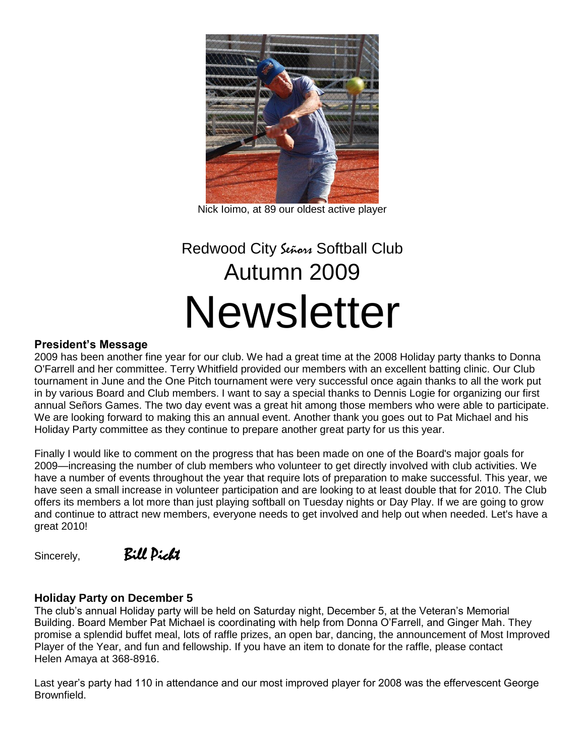

Nick Ioimo, at 89 our oldest active player

# Redwood City Señons Softball Club Autumn 2009 **Newsletter**

#### **President's Message**

2009 has been another fine year for our club. We had a great time at the 2008 Holiday party thanks to Donna O'Farrell and her committee. Terry Whitfield provided our members with an excellent batting clinic. Our Club tournament in June and the One Pitch tournament were very successful once again thanks to all the work put in by various Board and Club members. I want to say a special thanks to Dennis Logie for organizing our first annual Señors Games. The two day event was a great hit among those members who were able to participate. We are looking forward to making this an annual event. Another thank you goes out to Pat Michael and his Holiday Party committee as they continue to prepare another great party for us this year.

Finally I would like to comment on the progress that has been made on one of the Board's major goals for 2009—increasing the number of club members who volunteer to get directly involved with club activities. We have a number of events throughout the year that require lots of preparation to make successful. This year, we have seen a small increase in volunteer participation and are looking to at least double that for 2010. The Club offers its members a lot more than just playing softball on Tuesday nights or Day Play. If we are going to grow and continue to attract new members, everyone needs to get involved and help out when needed. Let's have a great 2010!

Sincerely,Bill Picht

#### **Holiday Party on December 5**

The club's annual Holiday party will be held on Saturday night, December 5, at the Veteran's Memorial Building. Board Member Pat Michael is coordinating with help from Donna O'Farrell, and Ginger Mah. They promise a splendid buffet meal, lots of raffle prizes, an open bar, dancing, the announcement of Most Improved Player of the Year, and fun and fellowship. If you have an item to donate for the raffle, please contact Helen Amaya at 368-8916.

Last year's party had 110 in attendance and our most improved player for 2008 was the effervescent George Brownfield.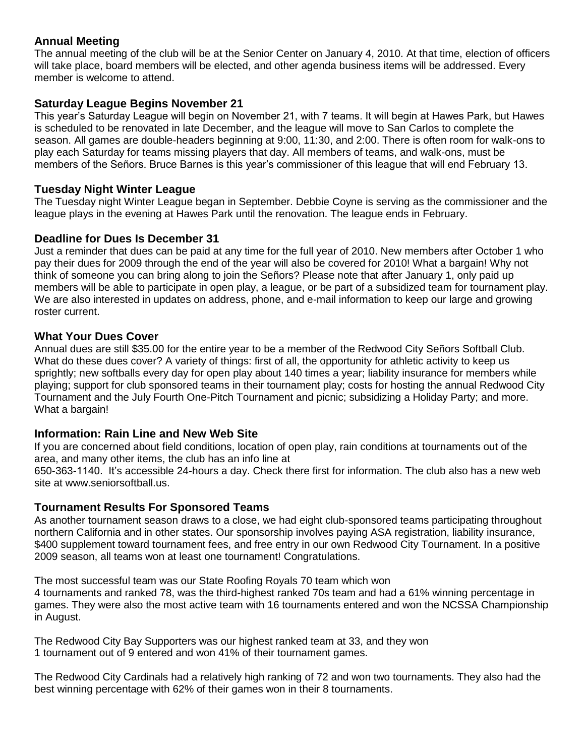# **Annual Meeting**

The annual meeting of the club will be at the Senior Center on January 4, 2010. At that time, election of officers will take place, board members will be elected, and other agenda business items will be addressed. Every member is welcome to attend.

# **Saturday League Begins November 21**

This year's Saturday League will begin on November 21, with 7 teams. It will begin at Hawes Park, but Hawes is scheduled to be renovated in late December, and the league will move to San Carlos to complete the season. All games are double-headers beginning at 9:00, 11:30, and 2:00. There is often room for walk-ons to play each Saturday for teams missing players that day. All members of teams, and walk-ons, must be members of the Señors. Bruce Barnes is this year's commissioner of this league that will end February 13.

#### **Tuesday Night Winter League**

The Tuesday night Winter League began in September. Debbie Coyne is serving as the commissioner and the league plays in the evening at Hawes Park until the renovation. The league ends in February.

# **Deadline for Dues Is December 31**

Just a reminder that dues can be paid at any time for the full year of 2010. New members after October 1 who pay their dues for 2009 through the end of the year will also be covered for 2010! What a bargain! Why not think of someone you can bring along to join the Señors? Please note that after January 1, only paid up members will be able to participate in open play, a league, or be part of a subsidized team for tournament play. We are also interested in updates on address, phone, and e-mail information to keep our large and growing roster current.

#### **What Your Dues Cover**

Annual dues are still \$35.00 for the entire year to be a member of the Redwood City Señors Softball Club. What do these dues cover? A variety of things: first of all, the opportunity for athletic activity to keep us sprightly; new softballs every day for open play about 140 times a year; liability insurance for members while playing; support for club sponsored teams in their tournament play; costs for hosting the annual Redwood City Tournament and the July Fourth One-Pitch Tournament and picnic; subsidizing a Holiday Party; and more. What a bargain!

# **Information: Rain Line and New Web Site**

If you are concerned about field conditions, location of open play, rain conditions at tournaments out of the area, and many other items, the club has an info line at

650-363-1140. It's accessible 24-hours a day. Check there first for information. The club also has a new web site at www.seniorsoftball.us.

# **Tournament Results For Sponsored Teams**

As another tournament season draws to a close, we had eight club-sponsored teams participating throughout northern California and in other states. Our sponsorship involves paying ASA registration, liability insurance, \$400 supplement toward tournament fees, and free entry in our own Redwood City Tournament. In a positive 2009 season, all teams won at least one tournament! Congratulations.

The most successful team was our State Roofing Royals 70 team which won 4 tournaments and ranked 78, was the third-highest ranked 70s team and had a 61% winning percentage in games. They were also the most active team with 16 tournaments entered and won the NCSSA Championship in August.

The Redwood City Bay Supporters was our highest ranked team at 33, and they won 1 tournament out of 9 entered and won 41% of their tournament games.

The Redwood City Cardinals had a relatively high ranking of 72 and won two tournaments. They also had the best winning percentage with 62% of their games won in their 8 tournaments.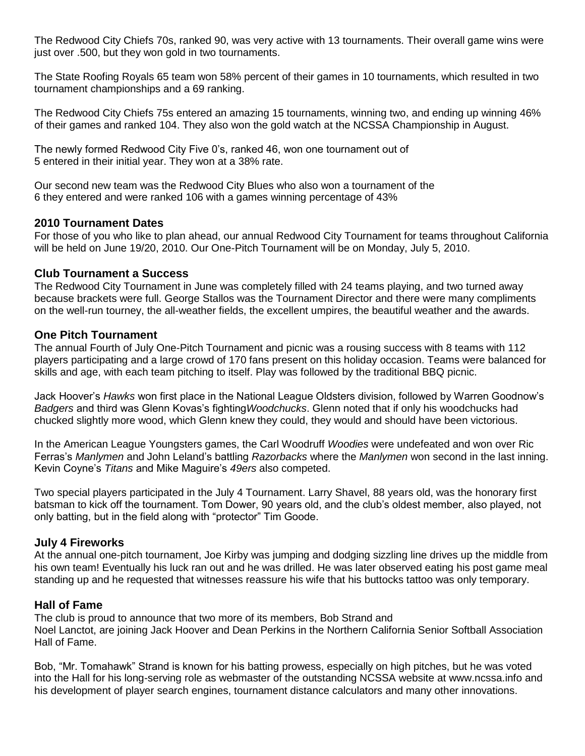The Redwood City Chiefs 70s, ranked 90, was very active with 13 tournaments. Their overall game wins were just over .500, but they won gold in two tournaments.

The State Roofing Royals 65 team won 58% percent of their games in 10 tournaments, which resulted in two tournament championships and a 69 ranking.

The Redwood City Chiefs 75s entered an amazing 15 tournaments, winning two, and ending up winning 46% of their games and ranked 104. They also won the gold watch at the NCSSA Championship in August.

The newly formed Redwood City Five 0's, ranked 46, won one tournament out of 5 entered in their initial year. They won at a 38% rate.

Our second new team was the Redwood City Blues who also won a tournament of the 6 they entered and were ranked 106 with a games winning percentage of 43%

#### **2010 Tournament Dates**

For those of you who like to plan ahead, our annual Redwood City Tournament for teams throughout California will be held on June 19/20, 2010. Our One-Pitch Tournament will be on Monday, July 5, 2010.

#### **Club Tournament a Success**

The Redwood City Tournament in June was completely filled with 24 teams playing, and two turned away because brackets were full. George Stallos was the Tournament Director and there were many compliments on the well-run tourney, the all-weather fields, the excellent umpires, the beautiful weather and the awards.

#### **One Pitch Tournament**

The annual Fourth of July One-Pitch Tournament and picnic was a rousing success with 8 teams with 112 players participating and a large crowd of 170 fans present on this holiday occasion. Teams were balanced for skills and age, with each team pitching to itself. Play was followed by the traditional BBQ picnic.

Jack Hoover's *Hawks* won first place in the National League Oldsters division, followed by Warren Goodnow's *Badgers* and third was Glenn Kovas's fighting*Woodchucks*. Glenn noted that if only his woodchucks had chucked slightly more wood, which Glenn knew they could, they would and should have been victorious.

In the American League Youngsters games, the Carl Woodruff *Woodies* were undefeated and won over Ric Ferras's *Manlymen* and John Leland's battling *Razorbacks* where the *Manlymen* won second in the last inning. Kevin Coyne's *Titans* and Mike Maguire's *49ers* also competed.

Two special players participated in the July 4 Tournament. Larry Shavel, 88 years old, was the honorary first batsman to kick off the tournament. Tom Dower, 90 years old, and the club's oldest member, also played, not only batting, but in the field along with "protector" Tim Goode.

# **July 4 Fireworks**

At the annual one-pitch tournament, Joe Kirby was jumping and dodging sizzling line drives up the middle from his own team! Eventually his luck ran out and he was drilled. He was later observed eating his post game meal standing up and he requested that witnesses reassure his wife that his buttocks tattoo was only temporary.

# **Hall of Fame**

The club is proud to announce that two more of its members, Bob Strand and Noel Lanctot, are joining Jack Hoover and Dean Perkins in the Northern California Senior Softball Association Hall of Fame.

Bob, "Mr. Tomahawk" Strand is known for his batting prowess, especially on high pitches, but he was voted into the Hall for his long-serving role as webmaster of the outstanding NCSSA website at www.ncssa.info and his development of player search engines, tournament distance calculators and many other innovations.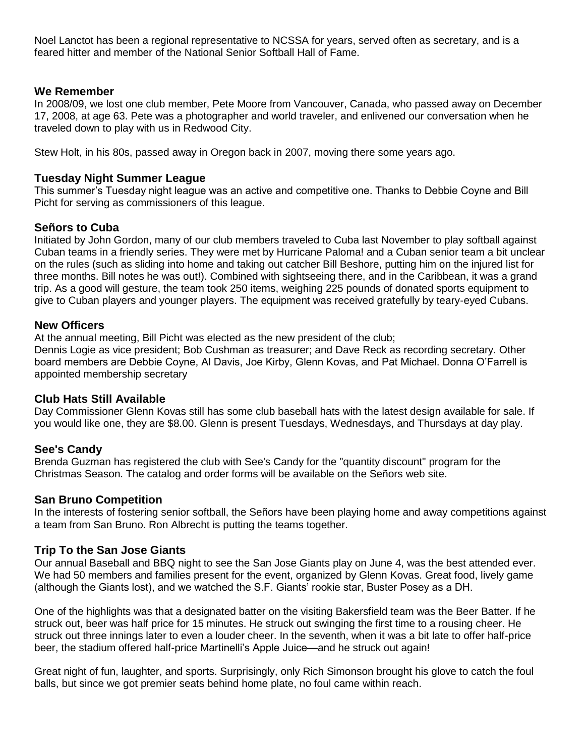Noel Lanctot has been a regional representative to NCSSA for years, served often as secretary, and is a feared hitter and member of the National Senior Softball Hall of Fame.

#### **We Remember**

In 2008/09, we lost one club member, Pete Moore from Vancouver, Canada, who passed away on December 17, 2008, at age 63. Pete was a photographer and world traveler, and enlivened our conversation when he traveled down to play with us in Redwood City.

Stew Holt, in his 80s, passed away in Oregon back in 2007, moving there some years ago.

#### **Tuesday Night Summer League**

This summer's Tuesday night league was an active and competitive one. Thanks to Debbie Coyne and Bill Picht for serving as commissioners of this league.

# **Señors to Cuba**

Initiated by John Gordon, many of our club members traveled to Cuba last November to play softball against Cuban teams in a friendly series. They were met by Hurricane Paloma! and a Cuban senior team a bit unclear on the rules (such as sliding into home and taking out catcher Bill Beshore, putting him on the injured list for three months. Bill notes he was out!). Combined with sightseeing there, and in the Caribbean, it was a grand trip. As a good will gesture, the team took 250 items, weighing 225 pounds of donated sports equipment to give to Cuban players and younger players. The equipment was received gratefully by teary-eyed Cubans.

#### **New Officers**

At the annual meeting, Bill Picht was elected as the new president of the club;

Dennis Logie as vice president; Bob Cushman as treasurer; and Dave Reck as recording secretary. Other board members are Debbie Coyne, Al Davis, Joe Kirby, Glenn Kovas, and Pat Michael. Donna O'Farrell is appointed membership secretary

#### **Club Hats Still Available**

Day Commissioner Glenn Kovas still has some club baseball hats with the latest design available for sale. If you would like one, they are \$8.00. Glenn is present Tuesdays, Wednesdays, and Thursdays at day play.

# **See's Candy**

Brenda Guzman has registered the club with See's Candy for the "quantity discount" program for the Christmas Season. The catalog and order forms will be available on the Señors web site.

# **San Bruno Competition**

In the interests of fostering senior softball, the Señors have been playing home and away competitions against a team from San Bruno. Ron Albrecht is putting the teams together.

# **Trip To the San Jose Giants**

Our annual Baseball and BBQ night to see the San Jose Giants play on June 4, was the best attended ever. We had 50 members and families present for the event, organized by Glenn Kovas. Great food, lively game (although the Giants lost), and we watched the S.F. Giants' rookie star, Buster Posey as a DH.

One of the highlights was that a designated batter on the visiting Bakersfield team was the Beer Batter. If he struck out, beer was half price for 15 minutes. He struck out swinging the first time to a rousing cheer. He struck out three innings later to even a louder cheer. In the seventh, when it was a bit late to offer half-price beer, the stadium offered half-price Martinelli's Apple Juice—and he struck out again!

Great night of fun, laughter, and sports. Surprisingly, only Rich Simonson brought his glove to catch the foul balls, but since we got premier seats behind home plate, no foul came within reach.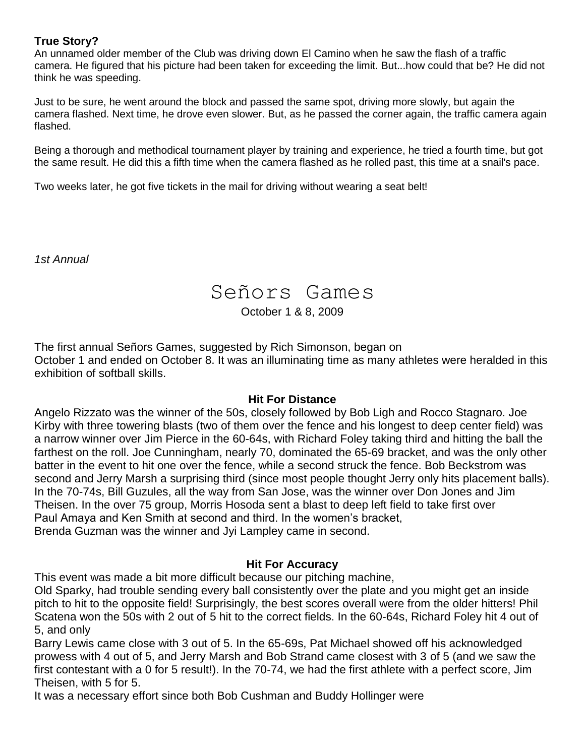# **True Story?**

An unnamed older member of the Club was driving down El Camino when he saw the flash of a traffic camera. He figured that his picture had been taken for exceeding the limit. But...how could that be? He did not think he was speeding.

Just to be sure, he went around the block and passed the same spot, driving more slowly, but again the camera flashed. Next time, he drove even slower. But, as he passed the corner again, the traffic camera again flashed.

Being a thorough and methodical tournament player by training and experience, he tried a fourth time, but got the same result. He did this a fifth time when the camera flashed as he rolled past, this time at a snail's pace.

Two weeks later, he got five tickets in the mail for driving without wearing a seat belt!

*1st Annual* 

# Señors Games

October 1 & 8, 2009

The first annual Señors Games, suggested by Rich Simonson, began on October 1 and ended on October 8. It was an illuminating time as many athletes were heralded in this exhibition of softball skills.

# **Hit For Distance**

Angelo Rizzato was the winner of the 50s, closely followed by Bob Ligh and Rocco Stagnaro. Joe Kirby with three towering blasts (two of them over the fence and his longest to deep center field) was a narrow winner over Jim Pierce in the 60-64s, with Richard Foley taking third and hitting the ball the farthest on the roll. Joe Cunningham, nearly 70, dominated the 65-69 bracket, and was the only other batter in the event to hit one over the fence, while a second struck the fence. Bob Beckstrom was second and Jerry Marsh a surprising third (since most people thought Jerry only hits placement balls). In the 70-74s, Bill Guzules, all the way from San Jose, was the winner over Don Jones and Jim Theisen. In the over 75 group, Morris Hosoda sent a blast to deep left field to take first over Paul Amaya and Ken Smith at second and third. In the women's bracket, Brenda Guzman was the winner and Jyi Lampley came in second.

# **Hit For Accuracy**

This event was made a bit more difficult because our pitching machine,

Old Sparky, had trouble sending every ball consistently over the plate and you might get an inside pitch to hit to the opposite field! Surprisingly, the best scores overall were from the older hitters! Phil Scatena won the 50s with 2 out of 5 hit to the correct fields. In the 60-64s, Richard Foley hit 4 out of 5, and only

Barry Lewis came close with 3 out of 5. In the 65-69s, Pat Michael showed off his acknowledged prowess with 4 out of 5, and Jerry Marsh and Bob Strand came closest with 3 of 5 (and we saw the first contestant with a 0 for 5 result!). In the 70-74, we had the first athlete with a perfect score, Jim Theisen, with 5 for 5.

It was a necessary effort since both Bob Cushman and Buddy Hollinger were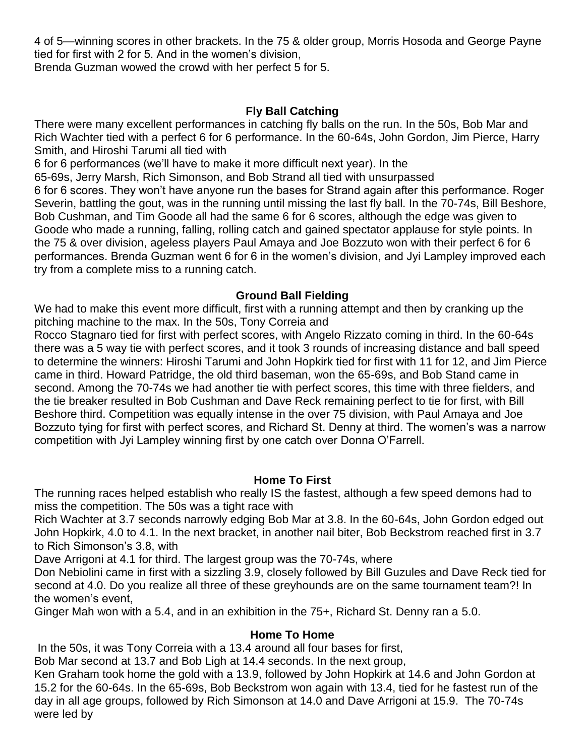4 of 5—winning scores in other brackets. In the 75 & older group, Morris Hosoda and George Payne tied for first with 2 for 5. And in the women's division,

Brenda Guzman wowed the crowd with her perfect 5 for 5.

# **Fly Ball Catching**

There were many excellent performances in catching fly balls on the run. In the 50s, Bob Mar and Rich Wachter tied with a perfect 6 for 6 performance. In the 60-64s, John Gordon, Jim Pierce, Harry Smith, and Hiroshi Tarumi all tied with

6 for 6 performances (we'll have to make it more difficult next year). In the

65-69s, Jerry Marsh, Rich Simonson, and Bob Strand all tied with unsurpassed

6 for 6 scores. They won't have anyone run the bases for Strand again after this performance. Roger Severin, battling the gout, was in the running until missing the last fly ball. In the 70-74s, Bill Beshore, Bob Cushman, and Tim Goode all had the same 6 for 6 scores, although the edge was given to Goode who made a running, falling, rolling catch and gained spectator applause for style points. In the 75 & over division, ageless players Paul Amaya and Joe Bozzuto won with their perfect 6 for 6 performances. Brenda Guzman went 6 for 6 in the women's division, and Jyi Lampley improved each try from a complete miss to a running catch.

# **Ground Ball Fielding**

We had to make this event more difficult, first with a running attempt and then by cranking up the pitching machine to the max. In the 50s, Tony Correia and

Rocco Stagnaro tied for first with perfect scores, with Angelo Rizzato coming in third. In the 60-64s there was a 5 way tie with perfect scores, and it took 3 rounds of increasing distance and ball speed to determine the winners: Hiroshi Tarumi and John Hopkirk tied for first with 11 for 12, and Jim Pierce came in third. Howard Patridge, the old third baseman, won the 65-69s, and Bob Stand came in second. Among the 70-74s we had another tie with perfect scores, this time with three fielders, and the tie breaker resulted in Bob Cushman and Dave Reck remaining perfect to tie for first, with Bill Beshore third. Competition was equally intense in the over 75 division, with Paul Amaya and Joe Bozzuto tying for first with perfect scores, and Richard St. Denny at third. The women's was a narrow competition with Jyi Lampley winning first by one catch over Donna O'Farrell.

# **Home To First**

The running races helped establish who really IS the fastest, although a few speed demons had to miss the competition. The 50s was a tight race with

Rich Wachter at 3.7 seconds narrowly edging Bob Mar at 3.8. In the 60-64s, John Gordon edged out John Hopkirk, 4.0 to 4.1. In the next bracket, in another nail biter, Bob Beckstrom reached first in 3.7 to Rich Simonson's 3.8, with

Dave Arrigoni at 4.1 for third. The largest group was the 70-74s, where

Don Nebiolini came in first with a sizzling 3.9, closely followed by Bill Guzules and Dave Reck tied for second at 4.0. Do you realize all three of these greyhounds are on the same tournament team?! In the women's event,

Ginger Mah won with a 5.4, and in an exhibition in the 75+, Richard St. Denny ran a 5.0.

# **Home To Home**

In the 50s, it was Tony Correia with a 13.4 around all four bases for first,

Bob Mar second at 13.7 and Bob Ligh at 14.4 seconds. In the next group,

Ken Graham took home the gold with a 13.9, followed by John Hopkirk at 14.6 and John Gordon at 15.2 for the 60-64s. In the 65-69s, Bob Beckstrom won again with 13.4, tied for he fastest run of the day in all age groups, followed by Rich Simonson at 14.0 and Dave Arrigoni at 15.9. The 70-74s were led by